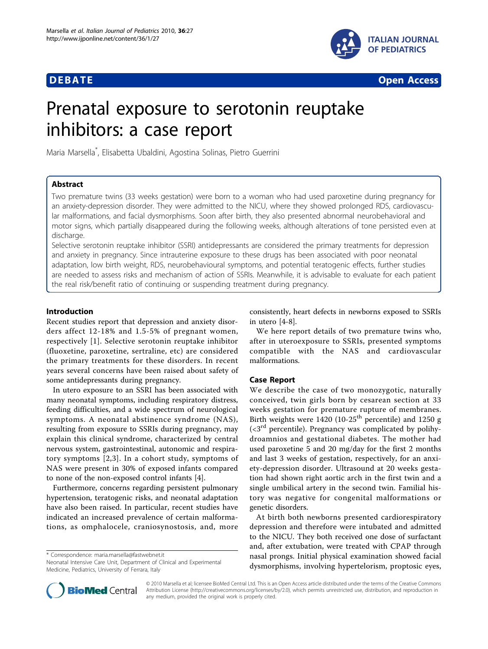

**DEBATE CONSERVATION CONSERVATION** 

# Prenatal exposure to serotonin reuptake inhibitors: a case report

Maria Marsella\* , Elisabetta Ubaldini, Agostina Solinas, Pietro Guerrini

# Abstract

Two premature twins (33 weeks gestation) were born to a woman who had used paroxetine during pregnancy for an anxiety-depression disorder. They were admitted to the NICU, where they showed prolonged RDS, cardiovascular malformations, and facial dysmorphisms. Soon after birth, they also presented abnormal neurobehavioral and motor signs, which partially disappeared during the following weeks, although alterations of tone persisted even at discharge.

Selective serotonin reuptake inhibitor (SSRI) antidepressants are considered the primary treatments for depression and anxiety in pregnancy. Since intrauterine exposure to these drugs has been associated with poor neonatal adaptation, low birth weight, RDS, neurobehavioural symptoms, and potential teratogenic effects, further studies are needed to assess risks and mechanism of action of SSRIs. Meanwhile, it is advisable to evaluate for each patient the real risk/benefit ratio of continuing or suspending treatment during pregnancy.

## Introduction

Recent studies report that depression and anxiety disorders affect 12-18% and 1.5-5% of pregnant women, respectively [[1\]](#page-2-0). Selective serotonin reuptake inhibitor (fluoxetine, paroxetine, sertraline, etc) are considered the primary treatments for these disorders. In recent years several concerns have been raised about safety of some antidepressants during pregnancy.

In utero exposure to an SSRI has been associated with many neonatal symptoms, including respiratory distress, feeding difficulties, and a wide spectrum of neurological symptoms. A neonatal abstinence syndrome (NAS), resulting from exposure to SSRIs during pregnancy, may explain this clinical syndrome, characterized by central nervous system, gastrointestinal, autonomic and respiratory symptoms [[2](#page-2-0),[3](#page-2-0)]. In a cohort study, symptoms of NAS were present in 30% of exposed infants compared to none of the non-exposed control infants [[4\]](#page-2-0).

Furthermore, concerns regarding persistent pulmonary hypertension, teratogenic risks, and neonatal adaptation have also been raised. In particular, recent studies have indicated an increased prevalence of certain malformations, as omphalocele, craniosynostosis, and, more

\* Correspondence: [maria.marsella@fastwebnet.it](mailto:maria.marsella@fastwebnet.it)

Neonatal Intensive Care Unit, Department of Clinical and Experimental Medicine, Pediatrics, University of Ferrara, Italy

consistently, heart defects in newborns exposed to SSRIs in utero [[4-8](#page-2-0)].

We here report details of two premature twins who, after in uteroexposure to SSRIs, presented symptoms compatible with the NAS and cardiovascular malformations.

## Case Report

We describe the case of two monozygotic, naturally conceived, twin girls born by cesarean section at 33 weeks gestation for premature rupture of membranes. Birth weights were  $1420$  (10-25<sup>th</sup> percentile) and 1250 g  $\left( < 3^{rd} \right)$  percentile). Pregnancy was complicated by polihydroamnios and gestational diabetes. The mother had used paroxetine 5 and 20 mg/day for the first 2 months and last 3 weeks of gestation, respectively, for an anxiety-depression disorder. Ultrasound at 20 weeks gestation had shown right aortic arch in the first twin and a single umbilical artery in the second twin. Familial history was negative for congenital malformations or genetic disorders.

At birth both newborns presented cardiorespiratory depression and therefore were intubated and admitted to the NICU. They both received one dose of surfactant and, after extubation, were treated with CPAP through nasal prongs. Initial physical examination showed facial dysmorphisms, involving hypertelorism, proptosic eyes,



© 2010 Marsella et al; licensee BioMed Central Ltd. This is an Open Access article distributed under the terms of the Creative Commons Attribution License [\(http://creativecommons.org/licenses/by/2.0](http://creativecommons.org/licenses/by/2.0)), which permits unrestricted use, distribution, and reproduction in any medium, provided the original work is properly cited.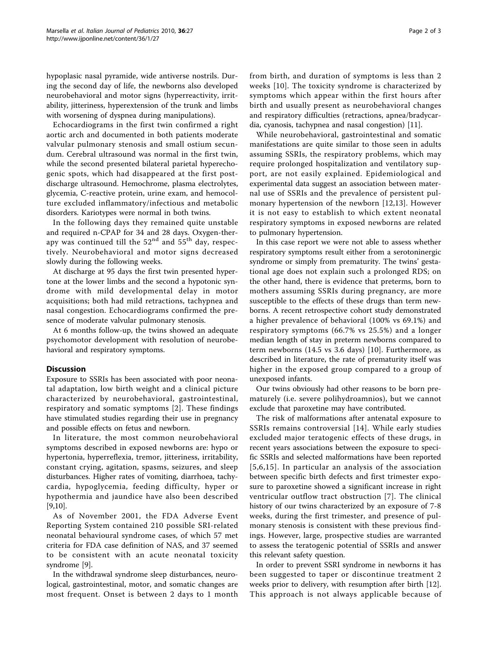hypoplasic nasal pyramide, wide antiverse nostrils. During the second day of life, the newborns also developed neurobehavioral and motor signs (hyperreactivity, irritability, jitteriness, hyperextension of the trunk and limbs with worsening of dyspnea during manipulations).

Echocardiograms in the first twin confirmed a right aortic arch and documented in both patients moderate valvular pulmonary stenosis and small ostium secundum. Cerebral ultrasound was normal in the first twin, while the second presented bilateral parietal hyperechogenic spots, which had disappeared at the first postdischarge ultrasound. Hemochrome, plasma electrolytes, glycemia, C-reactive protein, urine exam, and hemocolture excluded inflammatory/infectious and metabolic disorders. Kariotypes were normal in both twins.

In the following days they remained quite unstable and required n-CPAP for 34 and 28 days. Oxygen-therapy was continued till the  $52<sup>nd</sup>$  and  $55<sup>th</sup>$  day, respectively. Neurobehavioral and motor signs decreased slowly during the following weeks.

At discharge at 95 days the first twin presented hypertone at the lower limbs and the second a hypotonic syndrome with mild developmental delay in motor acquisitions; both had mild retractions, tachypnea and nasal congestion. Echocardiograms confirmed the presence of moderate valvular pulmonary stenosis.

At 6 months follow-up, the twins showed an adequate psychomotor development with resolution of neurobehavioral and respiratory symptoms.

### **Discussion**

Exposure to SSRIs has been associated with poor neonatal adaptation, low birth weight and a clinical picture characterized by neurobehavioral, gastrointestinal, respiratory and somatic symptoms [[2](#page-2-0)]. These findings have stimulated studies regarding their use in pregnancy and possible effects on fetus and newborn.

In literature, the most common neurobehavioral symptoms described in exposed newborns are: hypo or hypertonia, hyperreflexia, tremor, jitteriness, irritability, constant crying, agitation, spasms, seizures, and sleep disturbances. Higher rates of vomiting, diarrhoea, tachycardia, hypoglycemia, feeding difficulty, hyper or hypothermia and jaundice have also been described [[9,10\]](#page-2-0).

As of November 2001, the FDA Adverse Event Reporting System contained 210 possible SRI-related neonatal behavioural syndrome cases, of which 57 met criteria for FDA case definition of NAS, and 37 seemed to be consistent with an acute neonatal toxicity syndrome [\[9\]](#page-2-0).

In the withdrawal syndrome sleep disturbances, neurological, gastrointestinal, motor, and somatic changes are most frequent. Onset is between 2 days to 1 month from birth, and duration of symptoms is less than 2 weeks [[10](#page-2-0)]. The toxicity syndrome is characterized by symptoms which appear within the first hours after birth and usually present as neurobehavioral changes and respiratory difficulties (retractions, apnea/bradycardia, cyanosis, tachypnea and nasal congestion) [[11](#page-2-0)].

While neurobehavioral, gastrointestinal and somatic manifestations are quite similar to those seen in adults assuming SSRIs, the respiratory problems, which may require prolonged hospitalization and ventilatory support, are not easily explained. Epidemiological and experimental data suggest an association between maternal use of SSRIs and the prevalence of persistent pulmonary hypertension of the newborn [[12,13](#page-2-0)]. However it is not easy to establish to which extent neonatal respiratory symptoms in exposed newborns are related to pulmonary hypertension.

In this case report we were not able to assess whether respiratory symptoms result either from a serotoninergic syndrome or simply from prematurity. The twins' gestational age does not explain such a prolonged RDS; on the other hand, there is evidence that preterms, born to mothers assuming SSRIs during pregnancy, are more susceptible to the effects of these drugs than term newborns. A recent retrospective cohort study demonstrated a higher prevalence of behavioral (100% vs 69.1%) and respiratory symptoms (66.7% vs 25.5%) and a longer median length of stay in preterm newborns compared to term newborns (14.5 vs 3.6 days) [\[10](#page-2-0)]. Furthermore, as described in literature, the rate of prematurity itself was higher in the exposed group compared to a group of unexposed infants.

Our twins obviously had other reasons to be born prematurely (i.e. severe polihydroamnios), but we cannot exclude that paroxetine may have contributed.

The risk of malformations after antenatal exposure to SSRIs remains controversial [\[14\]](#page-2-0). While early studies excluded major teratogenic effects of these drugs, in recent years associations between the exposure to specific SSRIs and selected malformations have been reported [[5,6,15\]](#page-2-0). In particular an analysis of the association between specific birth defects and first trimester exposure to paroxetine showed a significant increase in right ventricular outflow tract obstruction [[7\]](#page-2-0). The clinical history of our twins characterized by an exposure of 7-8 weeks, during the first trimester, and presence of pulmonary stenosis is consistent with these previous findings. However, large, prospective studies are warranted to assess the teratogenic potential of SSRIs and answer this relevant safety question.

In order to prevent SSRI syndrome in newborns it has been suggested to taper or discontinue treatment 2 weeks prior to delivery, with resumption after birth [[12](#page-2-0)]. This approach is not always applicable because of